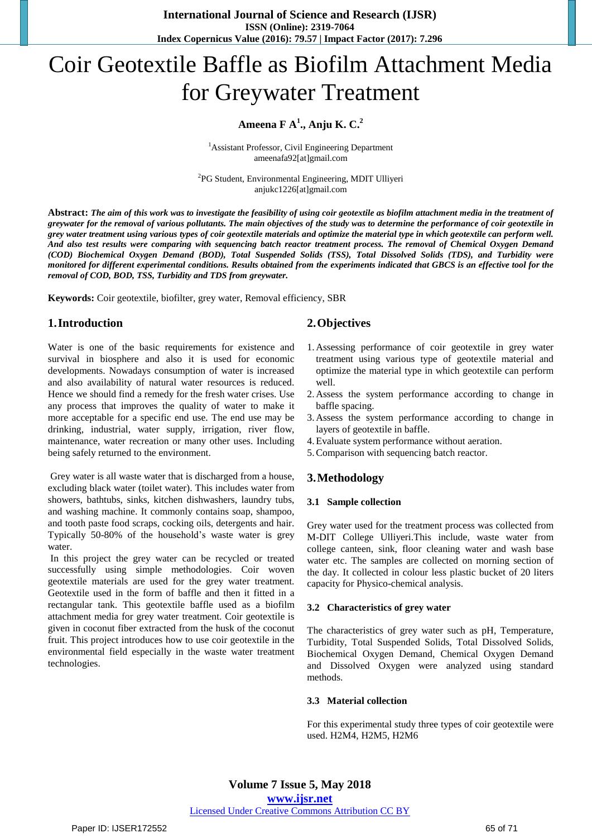**International Journal of Science and Research (IJSR) ISSN (Online): 2319-7064 Index Copernicus Value (2016): 79.57 | Impact Factor (2017): 7.296**

# Coir Geotextile Baffle as Biofilm Attachment Media for Greywater Treatment

# **Ameena F A 1 ., Anju K. C.<sup>2</sup>**

<sup>1</sup> Assistant Professor, Civil Engineering Department ameenafa92[at]gmail.com

<sup>2</sup>PG Student, Environmental Engineering, MDIT Ulliyeri anjukc1226[at]gmail.com

Abstract: The aim of this work was to investigate the feasibility of using coir geotextile as biofilm attachment media in the treatment of greywater for the removal of various pollutants. The main objectives of the study was to determine the performance of coir geotextile in grey water treatment using various types of coir geotextile materials and optimize the material type in which geotextile can perform well. And also test results were comparing with sequencing batch reactor treatment process. The removal of Chemical Oxygen Demand (COD) Biochemical Oxygen Demand (BOD), Total Suspended Solids (TSS), Total Dissolved Solids (TDS), and Turbidity were monitored for different experimental conditions. Results obtained from the experiments indicated that GBCS is an effective tool for the *removal of COD, BOD, TSS, Turbidity and TDS from greywater.*

**Keywords:** Coir geotextile, biofilter, grey water, Removal efficiency, SBR

# **1.Introduction**

Water is one of the basic requirements for existence and survival in biosphere and also it is used for economic developments. Nowadays consumption of water is increased and also availability of natural water resources is reduced. Hence we should find a remedy for the fresh water crises. Use any process that improves the quality of water to make it more acceptable for a specific end use. The end use may be drinking, industrial, water supply, irrigation, river flow, maintenance, water recreation or many other uses. Including being safely returned to the environment.

Grey water is all waste water that is discharged from a house, excluding black water (toilet water). This includes water from showers, bathtubs, sinks, kitchen dishwashers, laundry tubs, and washing machine. It commonly contains soap, shampoo, and tooth paste food scraps, cocking oils, detergents and hair. Typically 50-80% of the household's waste water is grey water.

In this project the grey water can be recycled or treated successfully using simple methodologies. Coir woven geotextile materials are used for the grey water treatment. Geotextile used in the form of baffle and then it fitted in a rectangular tank. This geotextile baffle used as a biofilm attachment media for grey water treatment. Coir geotextile is given in coconut fiber extracted from the husk of the coconut fruit. This project introduces how to use coir geotextile in the environmental field especially in the waste water treatment technologies.

# **2.Objectives**

- 1. Assessing performance of coir geotextile in grey water treatment using various type of geotextile material and optimize the material type in which geotextile can perform well.
- 2. Assess the system performance according to change in baffle spacing.
- 3. Assess the system performance according to change in layers of geotextile in baffle.
- 4.Evaluate system performance without aeration.
- 5.Comparison with sequencing batch reactor.

# **3.Methodology**

# **3.1 Sample collection**

Grey water used for the treatment process was collected from M-DIT College Ulliyeri.This include, waste water from college canteen, sink, floor cleaning water and wash base water etc. The samples are collected on morning section of the day. It collected in colour less plastic bucket of 20 liters capacity for Physico-chemical analysis.

# **3.2 Characteristics of grey water**

The characteristics of grey water such as pH, Temperature, Turbidity, Total Suspended Solids, Total Dissolved Solids, Biochemical Oxygen Demand, Chemical Oxygen Demand and Dissolved Oxygen were analyzed using standard methods.

# **3.3 Material collection**

For this experimental study three types of coir geotextile were used. H2M4, H2M5, H2M6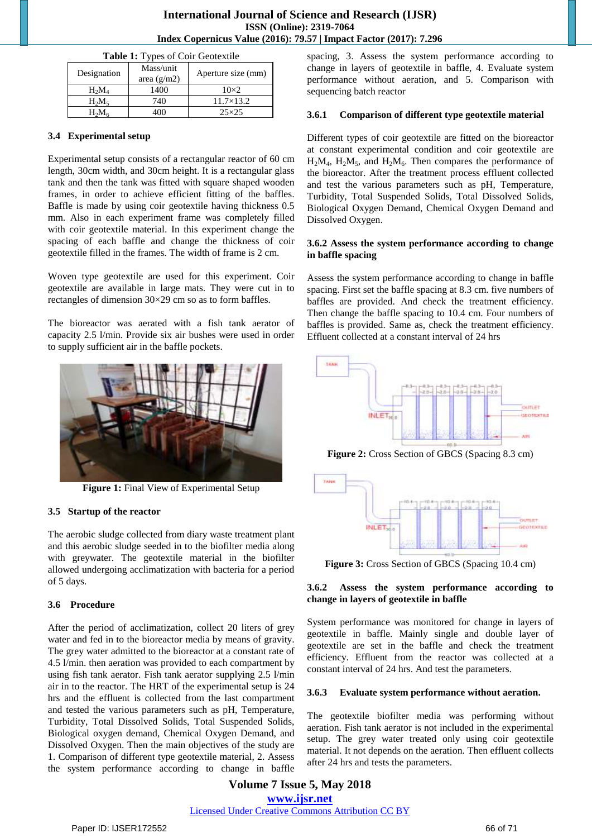| Table 1: Types of Coir Geotextile |                            |                    |  |  |
|-----------------------------------|----------------------------|--------------------|--|--|
| Designation                       | Mass/unit<br>area $(g/m2)$ | Aperture size (mm) |  |  |
| $H_2M_4$                          | 1400                       | $10\times2$        |  |  |
| $H_2M_5$                          | 740                        | $11.7\times13.2$   |  |  |
| $H_2M_6$                          | 400                        | $25\times25$       |  |  |

# **3.4 Experimental setup**

Experimental setup consists of a rectangular reactor of 60 cm length, 30cm width, and 30cm height. It is a rectangular glass tank and then the tank was fitted with square shaped wooden frames, in order to achieve efficient fitting of the baffles. Baffle is made by using coir geotextile having thickness 0.5 mm. Also in each experiment frame was completely filled with coir geotextile material. In this experiment change the spacing of each baffle and change the thickness of coir geotextile filled in the frames. The width of frame is 2 cm.

Woven type geotextile are used for this experiment. Coir geotextile are available in large mats. They were cut in to rectangles of dimension 30×29 cm so as to form baffles.

The bioreactor was aerated with a fish tank aerator of capacity 2.5 l/min. Provide six air bushes were used in order to supply sufficient air in the baffle pockets.



**Figure 1:** Final View of Experimental Setup

# **3.5 Startup of the reactor**

The aerobic sludge collected from diary waste treatment plant and this aerobic sludge seeded in to the biofilter media along with greywater. The geotextile material in the biofilter allowed undergoing acclimatization with bacteria for a period of 5 days.

# **3.6 Procedure**

After the period of acclimatization, collect 20 liters of grey water and fed in to the bioreactor media by means of gravity. The grey water admitted to the bioreactor at a constant rate of 4.5 l/min. then aeration was provided to each compartment by using fish tank aerator. Fish tank aerator supplying 2.5 l/min air in to the reactor. The HRT of the experimental setup is 24 hrs and the effluent is collected from the last compartment and tested the various parameters such as pH, Temperature, Turbidity, Total Dissolved Solids, Total Suspended Solids, Biological oxygen demand, Chemical Oxygen Demand, and Dissolved Oxygen. Then the main objectives of the study are 1. Comparison of different type geotextile material, 2. Assess the system performance according to change in baffle spacing, 3. Assess the system performance according to change in layers of geotextile in baffle, 4. Evaluate system performance without aeration, and 5. Comparison with sequencing batch reactor

## **3.6.1 Comparison of different type geotextile material**

Different types of coir geotextile are fitted on the bioreactor at constant experimental condition and coir geotextile are  $H_2M_4$ ,  $H_2M_5$ , and  $H_2M_6$ . Then compares the performance of the bioreactor. After the treatment process effluent collected and test the various parameters such as pH, Temperature, Turbidity, Total Suspended Solids, Total Dissolved Solids, Biological Oxygen Demand, Chemical Oxygen Demand and Dissolved Oxygen.

## **3.6.2 Assess the system performance according to change in baffle spacing**

Assess the system performance according to change in baffle spacing. First set the baffle spacing at 8.3 cm. five numbers of baffles are provided. And check the treatment efficiency. Then change the baffle spacing to 10.4 cm. Four numbers of baffles is provided. Same as, check the treatment efficiency. Effluent collected at a constant interval of 24 hrs



**Figure 2:** Cross Section of GBCS (Spacing 8.3 cm)



**Figure 3:** Cross Section of GBCS (Spacing 10.4 cm)

## **3.6.2 Assess the system performance according to change in layers of geotextile in baffle**

System performance was monitored for change in layers of geotextile in baffle. Mainly single and double layer of geotextile are set in the baffle and check the treatment efficiency. Effluent from the reactor was collected at a constant interval of 24 hrs. And test the parameters.

#### **3.6.3 Evaluate system performance without aeration.**

The geotextile biofilter media was performing without aeration. Fish tank aerator is not included in the experimental setup. The grey water treated only using coir geotextile material. It not depends on the aeration. Then effluent collects after 24 hrs and tests the parameters.

**Volume 7 Issue 5, May 2018 [www.ijsr.net](file:///D:\IJSR%20Website\www.ijsr.net)** [Licensed Under Creative Commons Attribution CC BY](http://creativecommons.org/licenses/by/4.0/)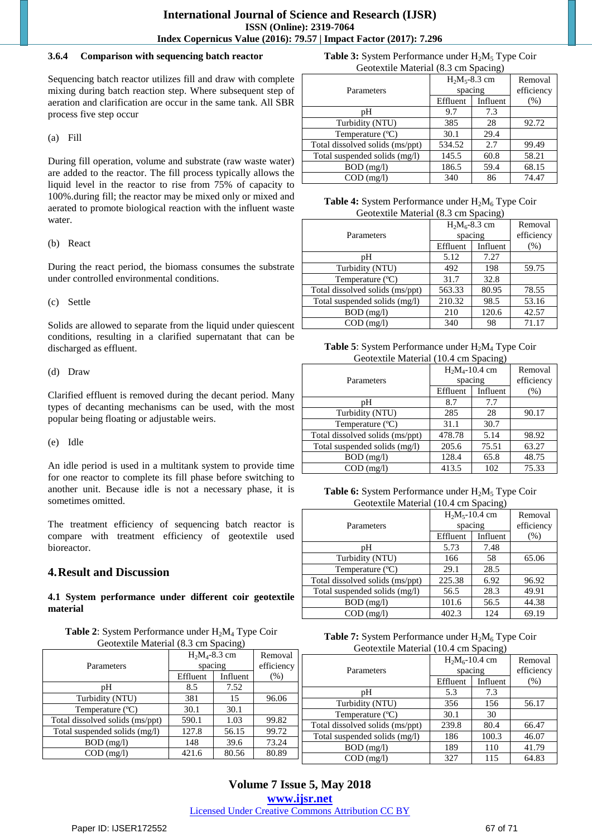## **3.6.4 Comparison with sequencing batch reactor**

Sequencing batch reactor utilizes fill and draw with complete mixing during batch reaction step. Where subsequent step of aeration and clarification are occur in the same tank. All SBR process five step occur

(a) Fill

During fill operation, volume and substrate (raw waste water) are added to the reactor. The fill process typically allows the liquid level in the reactor to rise from 75% of capacity to 100%.during fill; the reactor may be mixed only or mixed and aerated to promote biological reaction with the influent waste water.

(b) React

During the react period, the biomass consumes the substrate under controlled environmental conditions.

(c) Settle

Solids are allowed to separate from the liquid under quiescent conditions, resulting in a clarified supernatant that can be discharged as effluent.

(d) Draw

Clarified effluent is removed during the decant period. Many types of decanting mechanisms can be used, with the most popular being floating or adjustable weirs.

(e) Idle

An idle period is used in a multitank system to provide time for one reactor to complete its fill phase before switching to another unit. Because idle is not a necessary phase, it is sometimes omitted.

The treatment efficiency of sequencing batch reactor is compare with treatment efficiency of geotextile used bioreactor.

# **4.Result and Discussion**

**4.1 System performance under different coir geotextile material**

| <b>Table 2:</b> System Performance under $H_2M_4$ Type Coir |
|-------------------------------------------------------------|
| Geotextile Material (8.3 cm Spacing)                        |

| Ocoleanic Malerial (6.5 Cm Spacing) |                            |          | Geotextile Material (10.4 cm Spacing) |                                 |                   |                     |                    |  |
|-------------------------------------|----------------------------|----------|---------------------------------------|---------------------------------|-------------------|---------------------|--------------------|--|
| Parameters                          | $H_2M_4-8.3$ cm<br>spacing |          | Removal<br>efficiency                 |                                 | $H_2M_6$ -10.4 cm |                     | Remov              |  |
|                                     | Effluent                   | Influent | $(\%)$                                | Parameters                      | Effluent          | spacing<br>Influent | efficien<br>$(\%)$ |  |
| pΗ                                  | 8.5                        | 7.52     |                                       |                                 | 5.3               | 7.3                 |                    |  |
| Turbidity (NTU)                     | 381                        | 15       | 96.06                                 | pН                              |                   |                     |                    |  |
| Temperature (°C)                    | 30.1                       | 30.1     |                                       | Turbidity (NTU)                 | 356               | 156                 | 56.17              |  |
| Total dissolved solids (ms/ppt)     | 590.1                      | 1.03     | 99.82                                 | Temperature (°C)                | 30.1              | 30                  |                    |  |
| Total suspended solids (mg/l)       | 127.8                      | 56.15    | 99.72                                 | Total dissolved solids (ms/ppt) | 239.8             | 80.4                | 66.47              |  |
|                                     |                            |          | 73.24                                 | Total suspended solids (mg/l)   | 186               | 100.3               | 46.07              |  |
| $BOD$ (mg/l)                        | 148                        | 39.6     |                                       | $BOD$ (mg/l)                    | 189               | 110                 | 41.79              |  |
| $COD$ (mg/l)                        | 421.6                      | 80.56    | 80.89                                 | $COD$ (mg/l)                    | 327               | 115                 | 64.83              |  |
|                                     |                            |          |                                       |                                 |                   |                     |                    |  |

**Table 3:** System Performance under H<sub>2</sub>M<sub>5</sub> Type Coir Geotextile Material (8.3 cm Spacing)

|                                 | $H_2M_5 - 8.3$ cm | Removal    |        |
|---------------------------------|-------------------|------------|--------|
| Parameters                      | spacing           | efficiency |        |
|                                 | Effluent          | Influent   | $(\%)$ |
| pН                              | 9.7               | 7.3        |        |
| Turbidity (NTU)                 | 385               | 28         | 92.72  |
| Temperature $(^{\circ}C)$       | 30.1              | 29.4       |        |
| Total dissolved solids (ms/ppt) | 534.52            | 2.7        | 99.49  |
| Total suspended solids (mg/l)   | 145.5             | 60.8       | 58.21  |
| BOD (mg/l)                      | 186.5             | 59.4       | 68.15  |
| $COD$ (mg/l)                    | 340               | 86         | 74.47  |

**Table 4:** System Performance under H<sub>2</sub>M<sub>6</sub> Type Coir Geotextile Material (8.3 cm Spacing)

| Parameters                      | $H_2M_6 - 8.3$ cm<br>spacing |          | Removal<br>efficiency |
|---------------------------------|------------------------------|----------|-----------------------|
|                                 | Effluent                     | Influent | (%)                   |
| pН                              | 5.12                         | 7.27     |                       |
| Turbidity (NTU)                 | 492                          | 198      | 59.75                 |
| Temperature (°C)                | 31.7                         | 32.8     |                       |
| Total dissolved solids (ms/ppt) | 563.33                       | 80.95    | 78.55                 |
| Total suspended solids (mg/l)   | 210.32                       | 98.5     | 53.16                 |
| $BOD$ (mg/l)                    | 210                          | 120.6    | 42.57                 |
| $COD$ (mg/l)                    | 340                          | 98       | 71.17                 |

| <b>Table 5:</b> System Performance under $H_2M_4$ Type Coir |
|-------------------------------------------------------------|
| Geotextile Material (10.4 cm Spacing)                       |

| $\frac{1}{2}$                   |                   |          |            |  |  |
|---------------------------------|-------------------|----------|------------|--|--|
|                                 | $H_2M_4$ -10.4 cm | Removal  |            |  |  |
| Parameters                      | spacing           |          | efficiency |  |  |
|                                 | Effluent          | Influent | (%)        |  |  |
| pН                              | 8.7               | 7.7      |            |  |  |
| Turbidity (NTU)                 | 285               | 28       | 90.17      |  |  |
| Temperature (°C)                | 31.1              | 30.7     |            |  |  |
| Total dissolved solids (ms/ppt) | 478.78            | 5.14     | 98.92      |  |  |
| Total suspended solids (mg/l)   | 205.6             | 75.51    | 63.27      |  |  |
| $BOD$ (mg/l)                    | 128.4             | 65.8     | 48.75      |  |  |
| $COD$ (mg/l)                    | 413.5             | 102      | 75.33      |  |  |

**Table 6:** System Performance under H<sub>2</sub>M<sub>5</sub> Type Coir Geotextile Material (10.4 cm Spacing)

| $\sim$                          |          |          |            |  |  |
|---------------------------------|----------|----------|------------|--|--|
| $H_2M_5$ -10.4 cm               |          |          | Removal    |  |  |
| Parameters                      | spacing  |          | efficiency |  |  |
|                                 | Effluent | Influent | (%)        |  |  |
| pН                              | 5.73     | 7.48     |            |  |  |
| Turbidity (NTU)                 | 166      | 58       | 65.06      |  |  |
| Temperature (°C)                | 29.1     | 28.5     |            |  |  |
| Total dissolved solids (ms/ppt) | 225.38   | 6.92     | 96.92      |  |  |
| Total suspended solids (mg/l)   | 56.5     | 28.3     | 49.91      |  |  |
| $BOD$ (mg/l)                    | 101.6    | 56.5     | 44.38      |  |  |
| $COD$ (mg/l)                    | 402.3    | 124      | 69.19      |  |  |

| <b>Table 7:</b> System Performance under $H_2M_6$ Type Coir |  |
|-------------------------------------------------------------|--|
| Geotextile Material (10.4 cm Spacing)                       |  |

Removal efficiency  $(% )$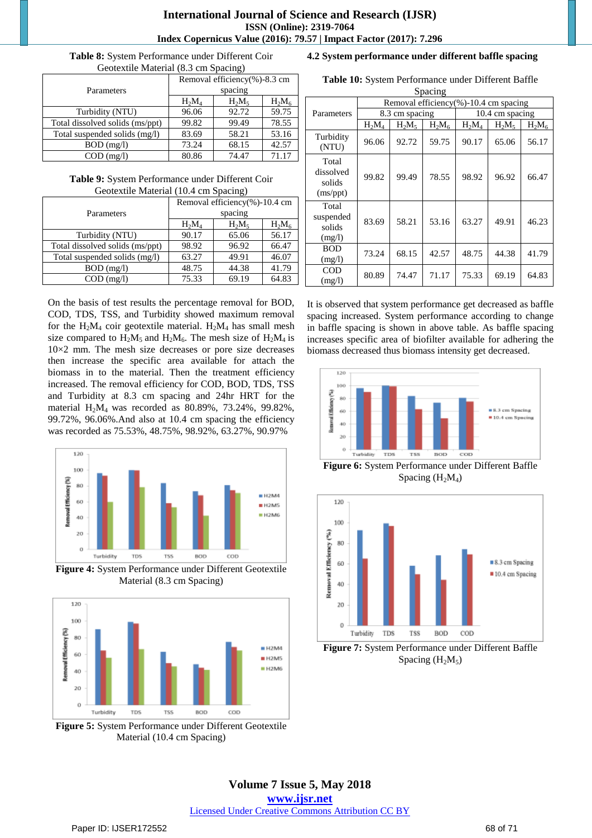**Table 8:** System Performance under Different Coir Geotextile Material (8.3 cm Spacing)

|                                 | Removal efficiency(%)-8.3 cm |          |          |  |
|---------------------------------|------------------------------|----------|----------|--|
| Parameters                      | spacing                      |          |          |  |
|                                 | $H_2M_4$                     | $H_2M_5$ | $H_2M_6$ |  |
| Turbidity (NTU)                 | 96.06                        | 92.72    | 59.75    |  |
| Total dissolved solids (ms/ppt) | 99.82                        | 99.49    | 78.55    |  |
| Total suspended solids (mg/l)   | 83.69                        | 58.21    | 53.16    |  |
| $BOD$ (mg/l)                    | 73.24                        | 68.15    | 42.57    |  |
| $COD$ (mg/l)                    | 80.86                        | 74.47    | 71.17    |  |

**Table 9:** System Performance under Different Coir Geotextile Material (10.4 cm Spacing)

|                                 | Removal efficiency(%)-10.4 cm |          |          |  |
|---------------------------------|-------------------------------|----------|----------|--|
| Parameters                      | spacing                       |          |          |  |
|                                 | $H_2M_4$                      | $H_2M_5$ | $H_2M_6$ |  |
| Turbidity (NTU)                 | 90.17                         | 65.06    | 56.17    |  |
| Total dissolved solids (ms/ppt) | 98.92                         | 96.92    | 66.47    |  |
| Total suspended solids (mg/l)   | 63.27                         | 49.91    | 46.07    |  |
| $BOD$ (mg/l)                    | 48.75                         | 44.38    | 41.79    |  |
| $COD$ (mg/l)                    | 75.33                         | 69.19    | 64.83    |  |

On the basis of test results the percentage removal for BOD, COD, TDS, TSS, and Turbidity showed maximum removal for the  $H_2M_4$  coir geotextile material.  $H_2M_4$  has small mesh size compared to  $H_2M_5$  and  $H_2M_6$ . The mesh size of  $H_2M_4$  is  $10\times2$  mm. The mesh size decreases or pore size decreases then increase the specific area available for attach the biomass in to the material. Then the treatment efficiency increased. The removal efficiency for COD, BOD, TDS, TSS and Turbidity at 8.3 cm spacing and 24hr HRT for the material H2M<sup>4</sup> was recorded as 80.89%, 73.24%, 99.82%, 99.72%, 96.06%.And also at 10.4 cm spacing the efficiency was recorded as 75.53%, 48.75%, 98.92%, 63.27%, 90.97%



**Figure 4:** System Performance under Different Geotextile Material (8.3 cm Spacing)



**Figure 5:** System Performance under Different Geotextile Material (10.4 cm Spacing)

# **4.2 System performance under different baffle spacing**

**Table 10:** System Performance under Different Baffle

| Spacing                                  |                                       |                |          |          |                 |          |  |
|------------------------------------------|---------------------------------------|----------------|----------|----------|-----------------|----------|--|
|                                          | Removal efficiency(%)-10.4 cm spacing |                |          |          |                 |          |  |
| Parameters                               |                                       | 8.3 cm spacing |          |          | 10.4 cm spacing |          |  |
|                                          | $H_2M_4$                              | $H_2M_5$       | $H_2M_6$ | $H_2M_4$ | $H_2M_5$        | $H_2M_6$ |  |
| Turbidity<br>(NTU)                       | 96.06                                 | 92.72          | 59.75    | 90.17    | 65.06           | 56.17    |  |
| Total<br>dissolved<br>solids<br>(ms/ppt) | 99.82                                 | 99.49          | 78.55    | 98.92    | 96.92           | 66.47    |  |
| Total<br>suspended<br>solids<br>(mg/l)   | 83.69                                 | 58.21          | 53.16    | 63.27    | 49.91           | 46.23    |  |
| <b>BOD</b><br>(mg/l)                     | 73.24                                 | 68.15          | 42.57    | 48.75    | 44.38           | 41.79    |  |
| COD<br>(mg/l)                            | 80.89                                 | 74.47          | 71.17    | 75.33    | 69.19           | 64.83    |  |

It is observed that system performance get decreased as baffle spacing increased. System performance according to change in baffle spacing is shown in above table. As baffle spacing increases specific area of biofilter available for adhering the biomass decreased thus biomass intensity get decreased.



**Figure 6:** System Performance under Different Baffle Spacing (H<sub>2</sub>M<sub>4</sub>)



**Figure 7:** System Performance under Different Baffle Spacing  $(H_2M_5)$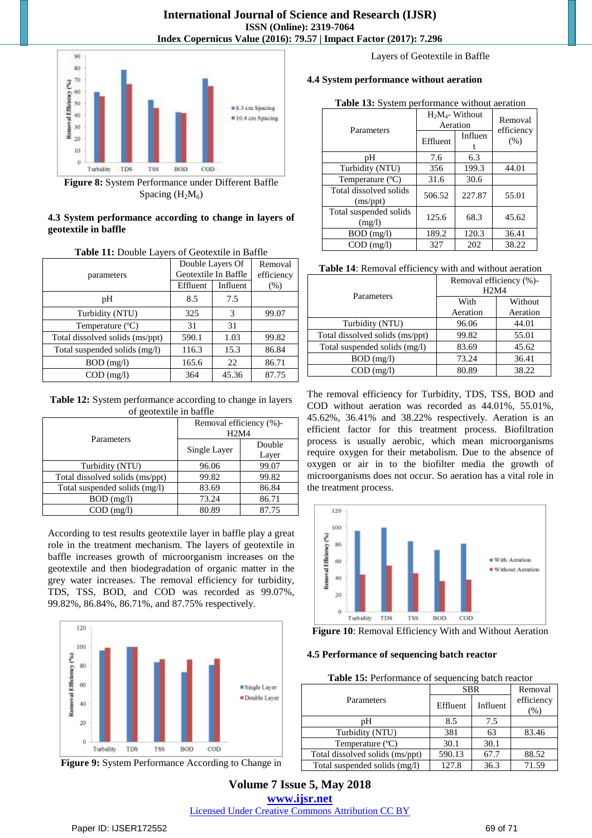

**Figure 8:** System Performance under Different Baffle Spacing  $(H_2M_6)$ 

# **4.3 System performance according to change in layers of geotextile in baffle**

| Table 11: Double Layers of Geotextile in Baffle |  |  |  |
|-------------------------------------------------|--|--|--|
|                                                 |  |  |  |

| parameters                      | Double Layers Of<br>Geotextile In Baffle |          | Removal<br>efficiency |
|---------------------------------|------------------------------------------|----------|-----------------------|
|                                 | Effluent                                 | Influent | $(\%)$                |
| pН                              | 8.5                                      | 7.5      |                       |
| Turbidity (NTU)                 | 325                                      | 3        | 99.07                 |
| Temperature $(^{\circ}C)$       | 31                                       | 31       |                       |
| Total dissolved solids (ms/ppt) | 590.1                                    | 1.03     | 99.82                 |
| Total suspended solids (mg/l)   | 116.3                                    | 15.3     | 86.84                 |
| $BOD$ (mg/l)                    | 165.6                                    | 22       | 86.71                 |
| $COD$ (mg/l)                    | 364                                      | 45.36    | 87.75                 |

**Table 12:** System performance according to change in layers of geotextile in baffle

|                                 | Removal efficiency (%)-<br>H <sub>2</sub> M <sub>4</sub> |        |  |  |
|---------------------------------|----------------------------------------------------------|--------|--|--|
| Parameters                      |                                                          |        |  |  |
|                                 | Single Layer                                             | Double |  |  |
|                                 |                                                          | Layer  |  |  |
| Turbidity (NTU)                 | 96.06                                                    | 99.07  |  |  |
| Total dissolved solids (ms/ppt) | 99.82                                                    | 99.82  |  |  |
| Total suspended solids (mg/l)   | 83.69                                                    | 86.84  |  |  |
| $BOD$ (mg/l)                    | 73.24                                                    | 86.71  |  |  |
| $COD$ (mg/l)                    | 80.89                                                    | 87.75  |  |  |

According to test results geotextile layer in baffle play a great role in the treatment mechanism. The layers of geotextile in baffle increases growth of microorganism increases on the geotextile and then biodegradation of organic matter in the grey water increases. The removal efficiency for turbidity, TDS, TSS, BOD, and COD was recorded as 99.07%, 99.82%, 86.84%, 86.71%, and 87.75% respectively.



**Figure 9:** System Performance According to Change in

Layers of Geotextile in Baffle

# **4.4 System performance without aeration**

#### **Table 13:** System performance without aeration

| Parameters                                     | Effluent | $H_2M_4$ - Without<br>Aeration<br>Influen | Removal<br>efficiency<br>(% ) |
|------------------------------------------------|----------|-------------------------------------------|-------------------------------|
| pН                                             | 7.6      | 6.3                                       |                               |
| Turbidity (NTU)                                | 356      | 199.3                                     | 44.01                         |
| Temperature (°C)                               | 31.6     | 30.6                                      |                               |
| Total dissolved solids<br>(ms <sub>ppt</sub> ) | 506.52   | 227.87                                    | 55.01                         |
| Total suspended solids<br>(mg/l)               | 125.6    | 68.3                                      | 45.62                         |
| $BOD$ (mg/l)                                   | 189.2    | 120.3                                     | 36.41                         |
| $COD$ (mg/l)                                   | 327      | 202                                       | 38.22                         |

| Removal efficiency (%)-<br>H <sub>2</sub> M <sub>4</sub> |          |  |
|----------------------------------------------------------|----------|--|
| With                                                     | Without  |  |
| Aeration                                                 | Aeration |  |
| 96.06                                                    | 44.01    |  |
| 99.82                                                    | 55.01    |  |
| 83.69                                                    | 45.62    |  |
| 73.24                                                    | 36.41    |  |
| 80.89                                                    | 38.22    |  |
|                                                          |          |  |

The removal efficiency for Turbidity, TDS, TSS, BOD and COD without aeration was recorded as 44.01%, 55.01%, 45.62%, 36.41% and 38.22% respectively. Aeration is an efficient factor for this treatment process. Biofiltration process is usually aerobic, which mean microorganisms require oxygen for their metabolism. Due to the absence of oxygen or air in to the biofilter media the growth of microorganisms does not occur. So aeration has a vital role in the treatment process.



**Figure 10**: Removal Efficiency With and Without Aeration

# **4.5 Performance of sequencing batch reactor**

| Table 15: Performance of sequencing batch reactor |  |  |  |  |  |  |
|---------------------------------------------------|--|--|--|--|--|--|
|---------------------------------------------------|--|--|--|--|--|--|

|                                 | <b>SBR</b> | Removal  |                      |
|---------------------------------|------------|----------|----------------------|
| Parameters                      | Effluent   | Influent | efficiency<br>$(\%)$ |
| pН                              | 8.5        | 7.5      |                      |
| Turbidity (NTU)                 | 381        | 63       | 83.46                |
| Temperature (°C)                | 30.1       | 30.1     |                      |
| Total dissolved solids (ms/ppt) | 590.13     | 67.7     | 88.52                |
| Total suspended solids (mg/l)   | 127.8      | 36.3     | 71.59                |

**Volume 7 Issue 5, May 2018 [www.ijsr.net](file:///D:\IJSR%20Website\www.ijsr.net)** [Licensed Under Creative Commons Attribution CC BY](http://creativecommons.org/licenses/by/4.0/)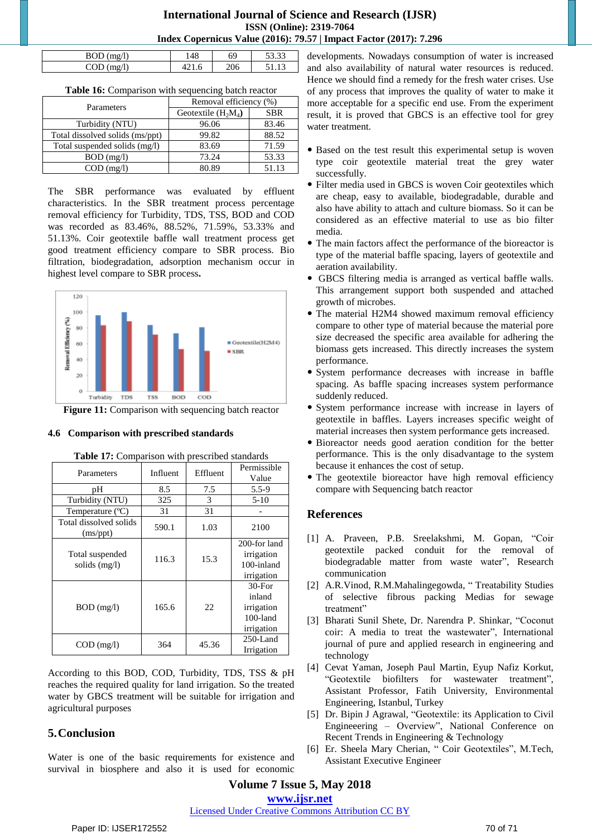# **International Journal of Science and Research (IJSR) ISSN (Online): 2319-7064 Index Copernicus Value (2016): 79.57 | Impact Factor (2017): 7.296**

| $m\sigma/l$<br>້<br> | 48 | 69  | $\Omega$<br>JJ.JJ |
|----------------------|----|-----|-------------------|
| $n\sigma/l$          |    | 206 |                   |

|  |  | <b>Table 16:</b> Comparison with sequencing batch reactor |
|--|--|-----------------------------------------------------------|
|  |  |                                                           |

| Parameters                      | Removal efficiency (%) |            |  |
|---------------------------------|------------------------|------------|--|
|                                 | Geotextile $(H_2M_4)$  | <b>SBR</b> |  |
| Turbidity (NTU)                 | 96.06                  | 83.46      |  |
| Total dissolved solids (ms/ppt) | 99.82                  | 88.52      |  |
| Total suspended solids (mg/l)   | 83.69                  | 71.59      |  |
| $BOD$ (mg/l)                    | 73.24                  | 53.33      |  |
| $COD$ (mg/l)                    | 80.89                  | 51.13      |  |

The SBR performance was evaluated by effluent characteristics. In the SBR treatment process percentage removal efficiency for Turbidity, TDS, TSS, BOD and COD was recorded as 83.46%, 88.52%, 71.59%, 53.33% and 51.13%. Coir geotextile baffle wall treatment process get good treatment efficiency compare to SBR process. Bio filtration, biodegradation, adsorption mechanism occur in highest level compare to SBR process**.**



**Figure 11:** Comparison with sequencing batch reactor

#### **4.6 Comparison with prescribed standards**

| Parameters                                     | Influent | Effluent | Permissible<br>Value                                           |
|------------------------------------------------|----------|----------|----------------------------------------------------------------|
| pН                                             | 8.5      | 7.5      | $5.5-9$                                                        |
| Turbidity (NTU)                                | 325      | 3        | $5-10$                                                         |
| Temperature $(^{\circ}C)$                      | 31       | 31       |                                                                |
| Total dissolved solids<br>(ms <sub>ppt</sub> ) | 590.1    | 1.03     | 2100                                                           |
| Total suspended<br>solids (mg/l)               | 116.3    | 15.3     | 200-for land<br>irrigation<br>100-inland<br>irrigation         |
| $BOD$ (mg/l)                                   | 165.6    | 22       | $30$ -For<br>inland<br>irrigation<br>$100$ -land<br>irrigation |
| $COD$ (mg/l)                                   | 364      | 45.36    | 250-Land<br>Irrigation                                         |

| Table 17: Comparison with prescribed standards |  |
|------------------------------------------------|--|
|------------------------------------------------|--|

According to this BOD, COD, Turbidity, TDS, TSS & pH reaches the required quality for land irrigation. So the treated water by GBCS treatment will be suitable for irrigation and agricultural purposes

# **5.Conclusion**

Water is one of the basic requirements for existence and survival in biosphere and also it is used for economic developments. Nowadays consumption of water is increased and also availability of natural water resources is reduced. Hence we should find a remedy for the fresh water crises. Use of any process that improves the quality of water to make it more acceptable for a specific end use. From the experiment result, it is proved that GBCS is an effective tool for grey water treatment.

- Based on the test result this experimental setup is woven type coir geotextile material treat the grey water successfully.
- Filter media used in GBCS is woven Coir geotextiles which are cheap, easy to available, biodegradable, durable and also have ability to attach and culture biomass. So it can be considered as an effective material to use as bio filter media.
- The main factors affect the performance of the bioreactor is type of the material baffle spacing, layers of geotextile and aeration availability.
- GBCS filtering media is arranged as vertical baffle walls. This arrangement support both suspended and attached growth of microbes.
- The material H2M4 showed maximum removal efficiency compare to other type of material because the material pore size decreased the specific area available for adhering the biomass gets increased. This directly increases the system performance.
- System performance decreases with increase in baffle spacing. As baffle spacing increases system performance suddenly reduced.
- System performance increase with increase in layers of geotextile in baffles. Layers increases specific weight of material increases then system performance gets increased.
- Bioreactor needs good aeration condition for the better performance. This is the only disadvantage to the system because it enhances the cost of setup.
- The geotextile bioreactor have high removal efficiency compare with Sequencing batch reactor

# **References**

- [1] A. Praveen, P.B. Sreelakshmi, M. Gopan, "Coir geotextile packed conduit for the removal of biodegradable matter from waste water", Research communication
- [2] A.R.Vinod, R.M.Mahalingegowda, " Treatability Studies of selective fibrous packing Medias for sewage treatment"
- [3] Bharati Sunil Shete, Dr. Narendra P. Shinkar, "Coconut coir: A media to treat the wastewater", International journal of pure and applied research in engineering and technology
- [4] Cevat Yaman, Joseph Paul Martin, Eyup Nafiz Korkut, "Geotextile biofilters for wastewater treatment", Assistant Professor, Fatih University, Environmental Engineering, Istanbul, Turkey
- [5] Dr. Bipin J Agrawal, "Geotextile: its Application to Civil Engineeering – Overview", National Conference on Recent Trends in Engineering & Technology
- [6] Er. Sheela Mary Cherian, " Coir Geotextiles", M.Tech, Assistant Executive Engineer

**Volume 7 Issue 5, May 2018**

**[www.ijsr.net](file:///D:\IJSR%20Website\www.ijsr.net)**

[Licensed Under Creative Commons Attribution CC BY](http://creativecommons.org/licenses/by/4.0/)